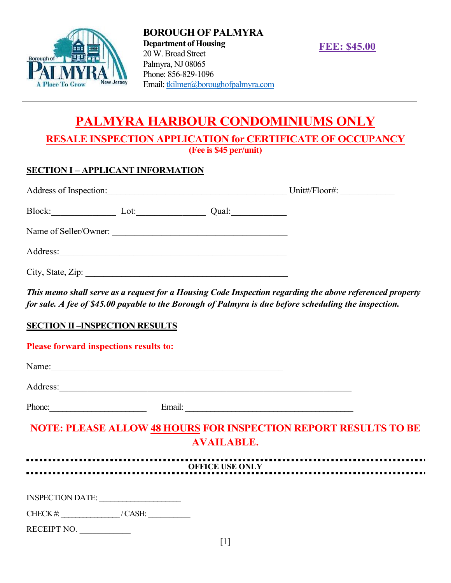

BOROUGH OF PALMYRA Department of Housing 20 W. Broad Street Palmyra, NJ 08065 Phone: 856-829-1096 Email: tkilmer@boroughofpalmyra.com

FEE: \$45.00

# PALMYRA HARBOUR CONDOMINIUMS ONLY RESALE INSPECTION APPLICATION for CERTIFICATE OF OCCUPANCY

(Fee is \$45 per/unit)

#### SECTION I – APPLICANT INFORMATION

| Address of Inspection:  | Unit#/Floor#: |
|-------------------------|---------------|
| Block:<br>Qual:<br>Lot: |               |
| Name of Seller/Owner:   |               |
| Address:                |               |
| City, State, Zip:       |               |

This memo shall serve as a request for a Housing Code Inspection regarding the above referenced property for sale. A fee of \$45.00 payable to the Borough of Palmyra is due before scheduling the inspection.

#### SECTION II –INSPECTION RESULTS

#### Please forward inspections results to:

| Name:    |        |  |
|----------|--------|--|
| Address: |        |  |
| Phone:   | Email: |  |

## NOTE: PLEASE ALLOW 48 HOURS FOR INSPECTION REPORT RESULTS TO BE AVAILABLE.

| <b>OFFICE USE ONLY</b>  |        |  |  |  |  |
|-------------------------|--------|--|--|--|--|
|                         |        |  |  |  |  |
| <b>INSPECTION DATE:</b> |        |  |  |  |  |
| CHECK $#$               | /CASH: |  |  |  |  |
| RECEIPT NO.             |        |  |  |  |  |